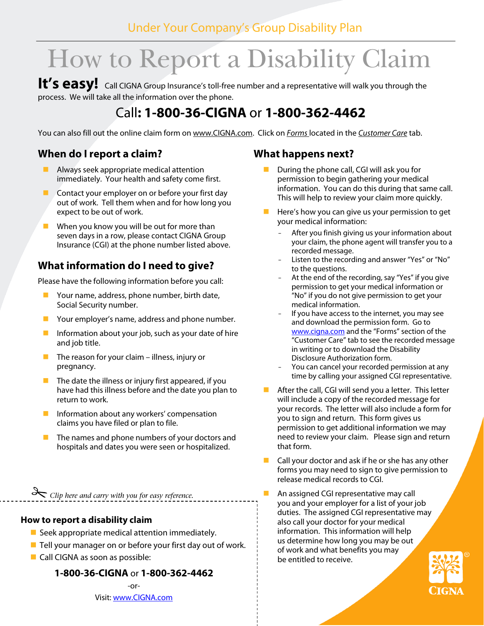# Under Your Company's Group Disability Plan

# How to Report a Disability Claim

It's easy! Call CIGNA Group Insurance's toll-free number and a representative will walk you through the process. We will take all the information over the phone.

# Call**: 1-800-36-CIGNA** or **1-800-362-4462**

You can also fill out the online claim form on www.CIGNA.com. Click on Forms located in the Customer Care tab.

# **When do I report a claim?**

- Always seek appropriate medical attention immediately. Your health and safety come first.
- Contact your employer on or before your first day out of work. Tell them when and for how long you expect to be out of work.
- When you know you will be out for more than seven days in a row, please contact CIGNA Group Insurance (CGI) at the phone number listed above.

# **What information do I need to give?**

Please have the following information before you call:

- Your name, address, phone number, birth date, Social Security number.
- Your employer's name, address and phone number.
- Information about your job, such as your date of hire and job title.
- The reason for your claim illness, injury or pregnancy.
- The date the illness or injury first appeared, if you have had this illness before and the date you plan to return to work.
- Information about any workers' compensation claims you have filed or plan to file.
- $\blacksquare$  The names and phone numbers of your doctors and hospitals and dates you were seen or hospitalized.

*Clip here and carry with you for easy reference.* 

#### **How to report a disability claim**

- Seek appropriate medical attention immediately.
- $\blacksquare$  Tell your manager on or before your first day out of work.
- Call CIGNA as soon as possible:

#### **1-800-36-CIGNA** or **1-800-362-4462**

-or-Visit: www.CIGNA.com

#### **What happens next?**

- During the phone call, CGI will ask you for permission to begin gathering your medical information. You can do this during that same call. This will help to review your claim more quickly.
- Here's how you can give us your permission to get your medical information:
	- After you finish giving us your information about your claim, the phone agent will transfer you to a recorded message.
	- Listen to the recording and answer "Yes" or "No" to the questions.
	- At the end of the recording, say "Yes" if you give permission to get your medical information or "No" if you do not give permission to get your medical information.
	- If you have access to the internet, you may see and download the permission form. Go to www.cigna.com and the "Forms" section of the "Customer Care" tab to see the recorded message in writing or to download the Disability Disclosure Authorization form.
	- You can cancel your recorded permission at any time by calling your assigned CGI representative.
- After the call, CGI will send you a letter. This letter will include a copy of the recorded message for your records. The letter will also include a form for you to sign and return. This form gives us permission to get additional information we may need to review your claim. Please sign and return that form.
- Call your doctor and ask if he or she has any other forms you may need to sign to give permission to release medical records to CGI.
- An assigned CGI representative may call you and your employer for a list of your job duties. The assigned CGI representative may also call your doctor for your medical information. This information will help us determine how long you may be out of work and what benefits you may be entitled to receive.